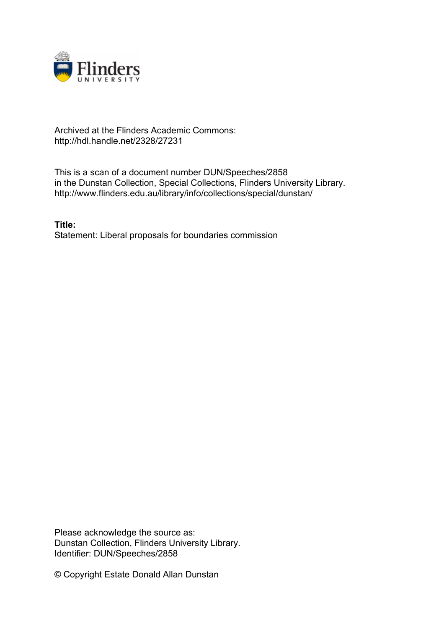

## Archived at the Flinders Academic Commons: http://hdl.handle.net/2328/27231

This is a scan of a document number DUN/Speeches/2858 in the Dunstan Collection, Special Collections, Flinders University Library. http://www.flinders.edu.au/library/info/collections/special/dunstan/

**Title:** Statement: Liberal proposals for boundaries commission

Please acknowledge the source as: Dunstan Collection, Flinders University Library. Identifier: DUN/Speeches/2858

© Copyright Estate Donald Allan Dunstan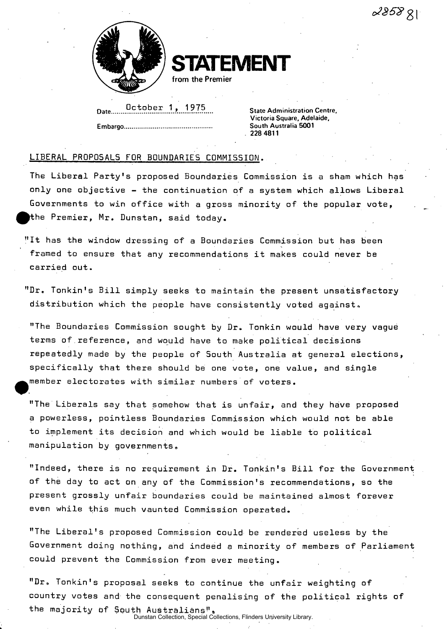$285881$ 



**STATEMENT** 

**from the Premier** 

Date Detober 1, 1975<br>Date State Administration Centre,

**Victoria Square, Adelaide, Embargo South Australia 5001 228 4811** 

## LIBERAL PROPOSALS FDR BOUNDARIES COMMISSION.

The Liberal Party's proposed Boundaries Commission is a sham which has only one objective - the continuation of a system which allows Liberal Governments to win office with a gross minority of the popular vote, ^the Premier, Mr. Dunstan, said today.

"It has the window dressing of a Boundaries Commission but has been framed to ensure that any recommendations it makes could never be carried out.

"Dr. Tonkin's Bill simply seeks to maintain the present unsatisfactory distribution which the people have consistently voted against,

"The Boundaries Commission sought by Dr. Tonkin would have very vague terms of.reference, and would have to make political decisions repeatedly made by the people of South Australia at general elections, specifically that there should be one vote, one value, and single member electorates with similar numbers of voters.

"The Liberals say that somehow that is unfair, and they have proposed a powerless, pointless Boundaries Commission which would not be able to implement its decision and which would be liable to political manipulation by governments,,

"Indeed, there is no requirement in Dr. Tonkin's Bill for the Government of the day to act on any of the Commission's recommendations, so the present grossly unfair boundaries could be maintained almost forever even while this much vaunted Commission operated.

"The Liberal's proposed Commission could be rendered useless by the Government doing nothing, and indeed a minority of members of Parliament could prevent the Commission from ever meeting.

"Dr. Tonkin's proposal seeks to continue the unfair weighting of country votes and the consequent penalising of the political rights of the majority of South Australians". Dunstan Collection, Special Collections, Flinders University Library.